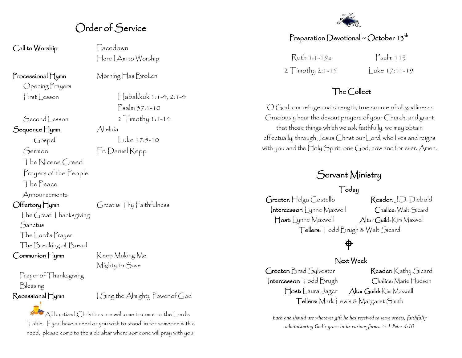# Order of Service

Call to Worship **Facedown** 

Opening Prayers

Sequence Hymn Alleluía

The Nicene Creed Prayers of the People

The Peace

Announcements

The Great Thanksgiving **Sanctus** The Lord's Prayer The Breaking of Bread

Communion Hymn Keep Making Me

Prayer of Thanksgiving Blessing

Here I Am to Worship

Processional Hymn Morning Has Broken

 $First **less** on **dash**  $\Box$$ Psalm 37:1-10 Second Lesson 2 Timothy 1:1-14 Gospel Luke 17:5-10

Sermon Fr. Daniel Repp

Offertory Hymn Great is Thy Faithfulness

Mighty to Save

Recessional Hymn **I** Sing the Almighty Power of God

All baptized Christians are welcome to come to the Lord's Table. If you have a need or you wish to stand in for someone with a need, please come to the side altar where someone will pray with you.



# Preparation Devotional ~ October 13<sup>th</sup>

Ruth 1:1-19a Psalm 113 2  $T$ imothy 2:1-15  $\vert$  uke 17:11-19

## The Collect

O God, our refuge and strength, true source of all godliness: Graciously hear the devout prayers of your Church, and grant that those things which we ask faithfully, we may obtain effectually; through Jesus Christ our Lord, who lives and reigns with you and the Holy Spirit, one God, now and for ever. Amen.

# Servant Ministry

#### Today

Greeter: Helga Costello Reader: J.D. Diebold Intercessor: Lynne Maxwell Chalice: Walt Sicard Host: Lynne Maxwell Altar Guild: Kim Maxwell Tellers: Todd Brugh & Walt Sicard

# ♦

#### Next Week

Greeter: Brad Sylvester Reader: Kathy Sicard Intercessor: Todd Brugh Chalice: Marie Hudson Host: Laura Jager Altar Guild: Kim Maxwell Tellers: Mark Lewis & Margaret Smith

*Each one should use whatever gift he has received to serve others, faithfully administering God's grace in its various forms. ~ 1 Peter 4:10*